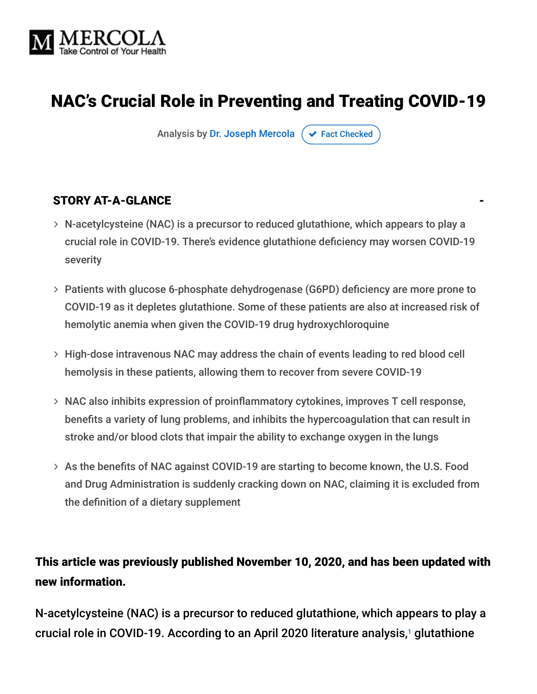

## NAC's Crucial Role in Preventing and Treating COVID-19

Analysis by [Dr. Joseph Mercola](https://www.mercola.com/forms/background.htm)  $\sigma$  [Fact Checked](javascript:void(0))

#### STORY AT-A-GLANCE

- N-acetylcysteine (NAC) is a precursor to reduced glutathione, which appears to play a crucial role in COVID-19. There's evidence glutathione deficiency may worsen COVID-19 severity
- Patients with glucose 6-phosphate dehydrogenase (G6PD) deficiency are more prone to COVID-19 as it depletes glutathione. Some of these patients are also at increased risk of hemolytic anemia when given the COVID-19 drug hydroxychloroquine
- High-dose intravenous NAC may address the chain of events leading to red blood cell hemolysis in these patients, allowing them to recover from severe COVID-19
- NAC also inhibits expression of proinflammatory cytokines, improves T cell response, benefits a variety of lung problems, and inhibits the hypercoagulation that can result in stroke and/or blood clots that impair the ability to exchange oxygen in the lungs
- As the benefits of NAC against COVID-19 are starting to become known, the U.S. Food and Drug Administration is suddenly cracking down on NAC, claiming it is excluded from the definition of a dietary supplement

### This article was previously published November 10, 2020, and has been updated with new information.

N-acetylcysteine (NAC) is a precursor to reduced glutathione, which appears to play a crucial role in COVID-19. According to an April 2020 literature analysis,<sup>1</sup> glutathione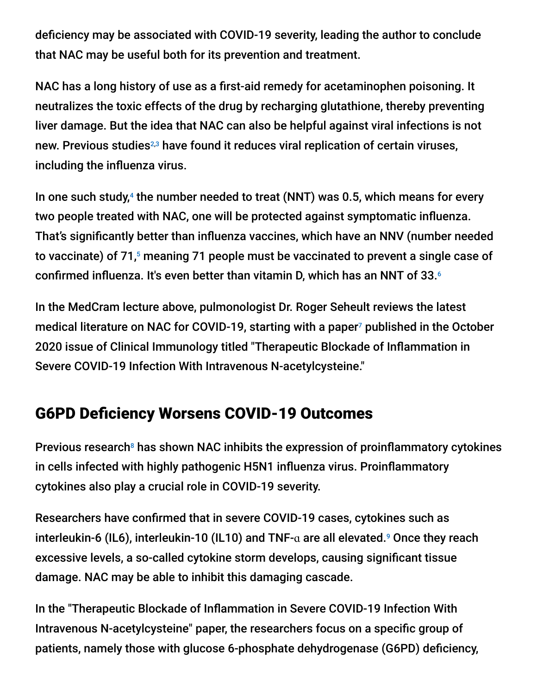deficiency may be associated with COVID-19 severity, leading the author to conclude that NAC may be useful both for its prevention and treatment.

NAC has a long history of use as a first-aid remedy for acetaminophen poisoning. It neutralizes the toxic effects of the drug by recharging glutathione, thereby preventing liver damage. But the idea that NAC can also be helpful against viral infections is not new. Previous studies<sup>2,3</sup> have found it reduces viral replication of certain viruses, including the influenza virus.

In one such study,<sup>4</sup> the number needed to treat (NNT) was 0.5, which means for every two people treated with NAC, one will be protected against symptomatic influenza. That's significantly better than influenza vaccines, which have an NNV (number needed to vaccinate) of 71,5 meaning 71 people must be vaccinated to prevent a single case of confirmed influenza. It's even better than vitamin D, which has an NNT of 33. 6

In the MedCram lecture above, pulmonologist Dr. Roger Seheult reviews the latest medical literature on NAC for COVID-19, starting with a paper<sup>7</sup> published in the October 2020 issue of Clinical Immunology titled "Therapeutic Blockade of Inflammation in Severe COVID-19 Infection With Intravenous N-acetylcysteine."

## G6PD Deficiency Worsens COVID-19 Outcomes

Previous research $<sup>8</sup>$  has shown NAC inhibits the expression of proinflammatory cytokines</sup> in cells infected with highly pathogenic H5N1 influenza virus. Proinflammatory cytokines also play a crucial role in COVID-19 severity.

Researchers have confirmed that in severe COVID-19 cases, cytokines such as interleukin-6 (IL6), interleukin-10 (IL10) and TNF- $\alpha$  are all elevated.<sup>9</sup> Once they reach excessive levels, a so-called cytokine storm develops, causing significant tissue damage. NAC may be able to inhibit this damaging cascade.

In the "Therapeutic Blockade of Inflammation in Severe COVID-19 Infection With Intravenous N-acetylcysteine" paper, the researchers focus on a specific group of patients, namely those with glucose 6-phosphate dehydrogenase (G6PD) deficiency,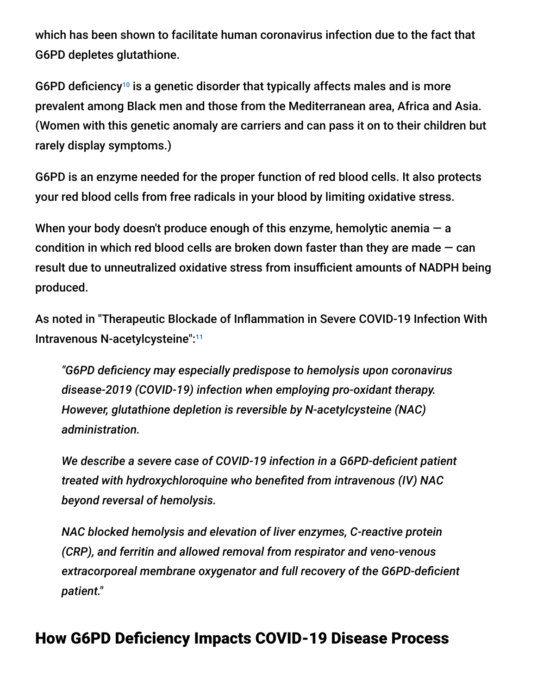which has been shown to facilitate human coronavirus infection due to the fact that G6PD depletes glutathione.

G6PD deficiency<sup>10</sup> is a genetic disorder that typically affects males and is more prevalent among Black men and those from the Mediterranean area, Africa and Asia. (Women with this genetic anomaly are carriers and can pass it on to their children but rarely display symptoms.)

G6PD is an enzyme needed for the proper function of red blood cells. It also protects your red blood cells from free radicals in your blood by limiting oxidative stress.

When your body doesn't produce enough of this enzyme, hemolytic anemia  $-$  a condition in which red blood cells are broken down faster than they are made  $-$  can result due to unneutralized oxidative stress from insufficient amounts of NADPH being produced.

As noted in "Therapeutic Blockade of Inflammation in Severe COVID-19 Infection With Intravenous N-acetylcysteine":<sup>11</sup>

*"G6PD deficiency may especially predispose to hemolysis upon coronavirus disease-2019 (COVID-19) infection when employing pro-oxidant therapy. However, glutathione depletion is reversible by N-acetylcysteine (NAC) administration.*

*We describe a severe case of COVID-19 infection in a G6PD-deficient patient treated with hydroxychloroquine who benefited from intravenous (IV) NAC beyond reversal of hemolysis.*

*NAC blocked hemolysis and elevation of liver enzymes, C-reactive protein (CRP), and ferritin and allowed removal from respirator and veno-venous extracorporeal membrane oxygenator and full recovery of the G6PD-deficient patient."*

## How G6PD Deficiency Impacts COVID-19 Disease Process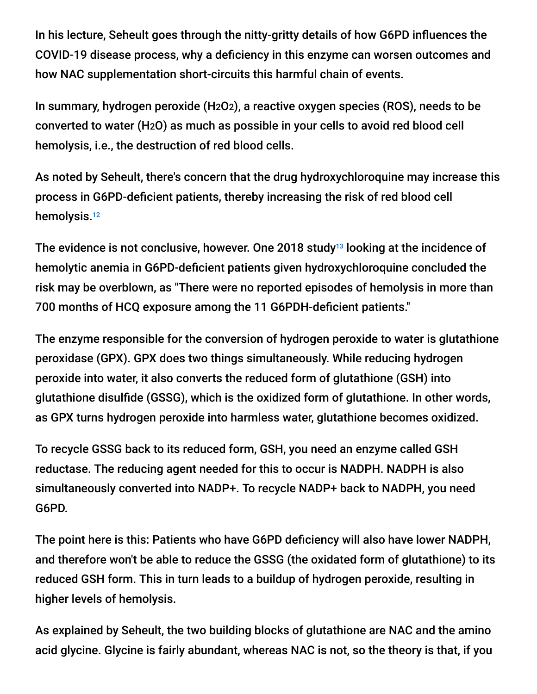In his lecture, Seheult goes through the nitty-gritty details of how G6PD influences the COVID-19 disease process, why a deficiency in this enzyme can worsen outcomes and how NAC supplementation short-circuits this harmful chain of events.

In summary, hydrogen peroxide (H2O2), a reactive oxygen species (ROS), needs to be converted to water (H2O) as much as possible in your cells to avoid red blood cell hemolysis, i.e., the destruction of red blood cells.

As noted by Seheult, there's concern that the drug hydroxychloroquine may increase this process in G6PD-deficient patients, thereby increasing the risk of red blood cell hemolysis.<sup>12</sup>

The evidence is not conclusive, however. One 2018 study $^{13}$  looking at the incidence of hemolytic anemia in G6PD-deficient patients given hydroxychloroquine concluded the risk may be overblown, as "There were no reported episodes of hemolysis in more than 700 months of HCQ exposure among the 11 G6PDH-deficient patients."

The enzyme responsible for the conversion of hydrogen peroxide to water is glutathione peroxidase (GPX). GPX does two things simultaneously. While reducing hydrogen peroxide into water, it also converts the reduced form of glutathione (GSH) into glutathione disulfide (GSSG), which is the oxidized form of glutathione. In other words, as GPX turns hydrogen peroxide into harmless water, glutathione becomes oxidized.

To recycle GSSG back to its reduced form, GSH, you need an enzyme called GSH reductase. The reducing agent needed for this to occur is NADPH. NADPH is also simultaneously converted into NADP+. To recycle NADP+ back to NADPH, you need G6PD.

The point here is this: Patients who have G6PD deficiency will also have lower NADPH, and therefore won't be able to reduce the GSSG (the oxidated form of glutathione) to its reduced GSH form. This in turn leads to a buildup of hydrogen peroxide, resulting in higher levels of hemolysis.

As explained by Seheult, the two building blocks of glutathione are NAC and the amino acid glycine. Glycine is fairly abundant, whereas NAC is not, so the theory is that, if you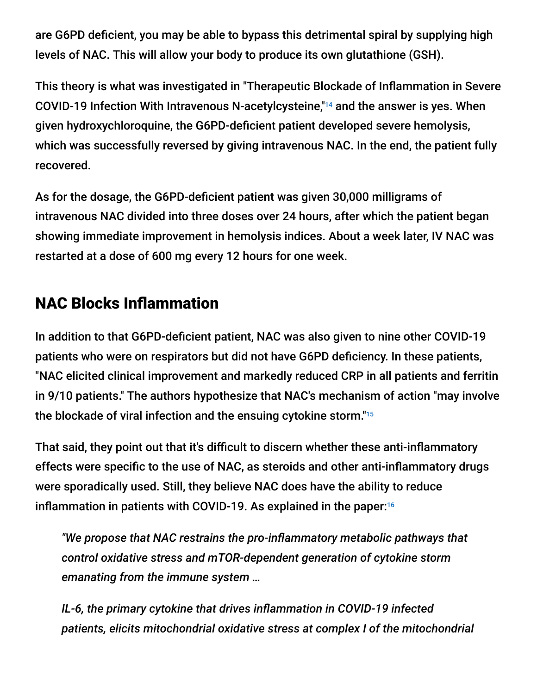are G6PD deficient, you may be able to bypass this detrimental spiral by supplying high levels of NAC. This will allow your body to produce its own glutathione (GSH).

This theory is what was investigated in "Therapeutic Blockade of Inflammation in Severe COVID-19 Infection With Intravenous N-acetylcysteine,<sup>"14</sup> and the answer is yes. When given hydroxychloroquine, the G6PD-deficient patient developed severe hemolysis, which was successfully reversed by giving intravenous NAC. In the end, the patient fully recovered.

As for the dosage, the G6PD-deficient patient was given 30,000 milligrams of intravenous NAC divided into three doses over 24 hours, after which the patient began showing immediate improvement in hemolysis indices. About a week later, IV NAC was restarted at a dose of 600 mg every 12 hours for one week.

## NAC Blocks Inflammation

In addition to that G6PD-deficient patient, NAC was also given to nine other COVID-19 patients who were on respirators but did not have G6PD deficiency. In these patients, "NAC elicited clinical improvement and markedly reduced CRP in all patients and ferritin in 9/10 patients." The authors hypothesize that NAC's mechanism of action "may involve the blockade of viral infection and the ensuing cytokine storm." 15

That said, they point out that it's difficult to discern whether these anti-inflammatory effects were specific to the use of NAC, as steroids and other anti-inflammatory drugs were sporadically used. Still, they believe NAC does have the ability to reduce inflammation in patients with COVID-19. As explained in the paper: 16

*"We propose that NAC restrains the pro-inflammatory metabolic pathways that control oxidative stress and mTOR-dependent generation of cytokine storm emanating from the immune system …*

*IL-6, the primary cytokine that drives inflammation in COVID-19 infected patients, elicits mitochondrial oxidative stress at complex I of the mitochondrial*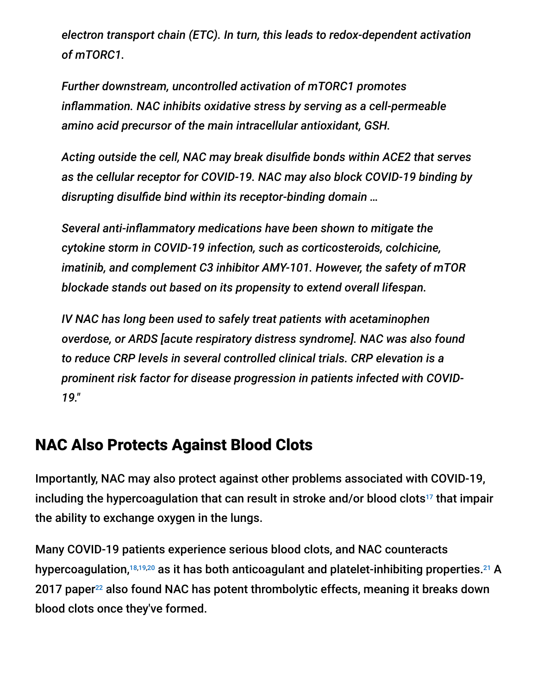*electron transport chain (ETC). In turn, this leads to redox-dependent activation of mTORC1.*

*Further downstream, uncontrolled activation of mTORC1 promotes inflammation. NAC inhibits oxidative stress by serving as a cell-permeable amino acid precursor of the main intracellular antioxidant, GSH.*

*Acting outside the cell, NAC may break disulfide bonds within ACE2 that serves as the cellular receptor for COVID-19. NAC may also block COVID-19 binding by disrupting disulfide bind within its receptor-binding domain …*

*Several anti-inflammatory medications have been shown to mitigate the cytokine storm in COVID-19 infection, such as corticosteroids, colchicine, imatinib, and complement C3 inhibitor AMY-101. However, the safety of mTOR blockade stands out based on its propensity to extend overall lifespan.*

*IV NAC has long been used to safely treat patients with acetaminophen overdose, or ARDS [acute respiratory distress syndrome]. NAC was also found to reduce CRP levels in several controlled clinical trials. CRP elevation is a prominent risk factor for disease progression in patients infected with COVID-19."*

## NAC Also Protects Against Blood Clots

Importantly, NAC may also protect against other problems associated with COVID-19, including the hypercoagulation that can result in stroke and/or blood clots<sup>17</sup> that impair the ability to exchange oxygen in the lungs.

Many COVID-19 patients experience serious blood clots, and NAC counteracts hypercoagulation, $^{18,19,20}$  as it has both anticoagulant and platelet-inhibiting properties.<sup>21</sup> A 2017 paper<sup>22</sup> also found NAC has potent thrombolytic effects, meaning it breaks down blood clots once they've formed.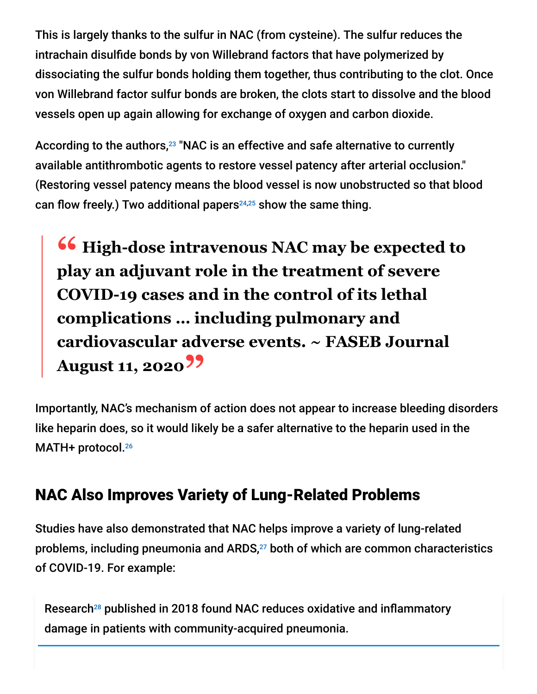This is largely thanks to the sulfur in NAC (from cysteine). The sulfur reduces the intrachain disulfide bonds by von Willebrand factors that have polymerized by dissociating the sulfur bonds holding them together, thus contributing to the clot. Once von Willebrand factor sulfur bonds are broken, the clots start to dissolve and the blood vessels open up again allowing for exchange of oxygen and carbon dioxide.

According to the authors,<sup>23</sup> "NAC is an effective and safe alternative to currently available antithrombotic agents to restore vessel patency after arterial occlusion." (Restoring vessel patency means the blood vessel is now unobstructed so that blood can flow freely.) Two additional papers<sup>24,25</sup> show the same thing.

**<sup>66</sup>** High-dose intravenous NAC may be expected to the High-dose intravenous NAC may be expected to **play an adjuvant role in the treatment of severe COVID-19 cases and in the control of its lethal complications … including pulmonary and cardiovascular adverse events. ~ FASEB Journal August 11, 2020"**

Importantly, NAC's mechanism of action does not appear to increase bleeding disorders like heparin does, so it would likely be a safer alternative to the heparin used in the MATH+ protocol. 26

## NAC Also Improves Variety of Lung-Related Problems

Studies have also demonstrated that NAC helps improve a variety of lung-related problems, including pneumonia and ARDS,<sup>27</sup> both of which are common characteristics of COVID-19. For example:

Research<sup>28</sup> published in 2018 found NAC reduces oxidative and inflammatory damage in patients with community-acquired pneumonia.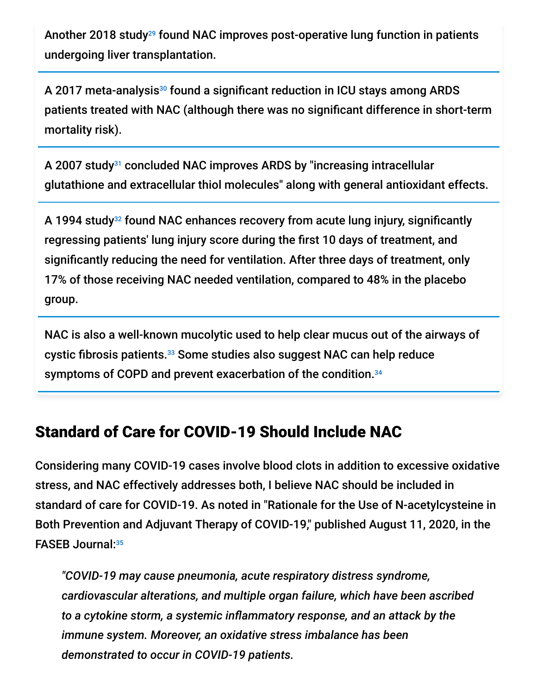Another 2018 study<sup>29</sup> found NAC improves post-operative lung function in patients undergoing liver transplantation.

A 2017 meta-analysis $^{\text{30}}$  found a significant reduction in ICU stays among ARDS patients treated with NAC (although there was no significant difference in short-term mortality risk).

A 2007 study<sup>31</sup> concluded NAC improves ARDS by "increasing intracellular glutathione and extracellular thiol molecules" along with general antioxidant effects.

A 1994 study<sup>32</sup> found NAC enhances recovery from acute lung injury, significantly regressing patients' lung injury score during the first 10 days of treatment, and significantly reducing the need for ventilation. After three days of treatment, only 17% of those receiving NAC needed ventilation, compared to 48% in the placebo group.

NAC is also a well-known mucolytic used to help clear mucus out of the airways of cystic fibrosis patients.<sup>33</sup> Some studies also suggest NAC can help reduce symptoms of COPD and prevent exacerbation of the condition. 34

## Standard of Care for COVID-19 Should Include NAC

Considering many COVID-19 cases involve blood clots in addition to excessive oxidative stress, and NAC effectively addresses both, I believe NAC should be included in standard of care for COVID-19. As noted in "Rationale for the Use of N-acetylcysteine in Both Prevention and Adjuvant Therapy of COVID-19," published August 11, 2020, in the FASEB Journal: 35

*"COVID-19 may cause pneumonia, acute respiratory distress syndrome, cardiovascular alterations, and multiple organ failure, which have been ascribed to a cytokine storm, a systemic inflammatory response, and an attack by the immune system. Moreover, an oxidative stress imbalance has been demonstrated to occur in COVID-19 patients.*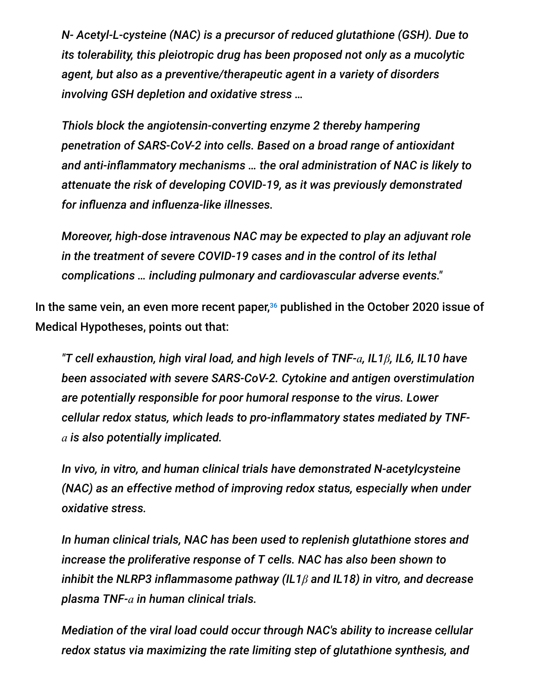*N- Acetyl-L-cysteine (NAC) is a precursor of reduced glutathione (GSH). Due to its tolerability, this pleiotropic drug has been proposed not only as a mucolytic agent, but also as a preventive/therapeutic agent in a variety of disorders involving GSH depletion and oxidative stress …*

*Thiols block the angiotensin-converting enzyme 2 thereby hampering penetration of SARS-CoV-2 into cells. Based on a broad range of antioxidant and anti-inflammatory mechanisms … the oral administration of NAC is likely to attenuate the risk of developing COVID-19, as it was previously demonstrated for influenza and influenza-like illnesses.*

*Moreover, high-dose intravenous NAC may be expected to play an adjuvant role in the treatment of severe COVID-19 cases and in the control of its lethal complications … including pulmonary and cardiovascular adverse events."*

In the same vein, an even more recent paper, $36$  published in the October 2020 issue of Medical Hypotheses, points out that:

*"T cell exhaustion, high viral load, and high levels of TNF-ɑ, IL1β, IL6, IL10 have been associated with severe SARS-CoV-2. Cytokine and antigen overstimulation are potentially responsible for poor humoral response to the virus. Lower cellular redox status, which leads to pro-inflammatory states mediated by TNFɑ is also potentially implicated.*

*In vivo, in vitro, and human clinical trials have demonstrated N-acetylcysteine (NAC) as an effective method of improving redox status, especially when under oxidative stress.*

*In human clinical trials, NAC has been used to replenish glutathione stores and increase the proliferative response of T cells. NAC has also been shown to inhibit the NLRP3 inflammasome pathway (IL1β and IL18) in vitro, and decrease plasma TNF-ɑ in human clinical trials.*

*Mediation of the viral load could occur through NAC's ability to increase cellular redox status via maximizing the rate limiting step of glutathione synthesis, and*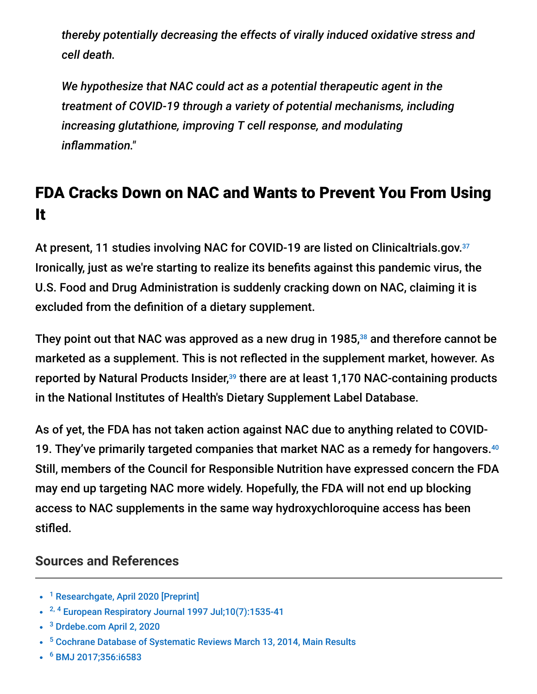*thereby potentially decreasing the effects of virally induced oxidative stress and cell death.*

*We hypothesize that NAC could act as a potential therapeutic agent in the treatment of COVID-19 through a variety of potential mechanisms, including increasing glutathione, improving T cell response, and modulating inflammation."*

# FDA Cracks Down on NAC and Wants to Prevent You From Using It

At present, 11 studies involving NAC for COVID-19 are listed on Clinicaltrials.gov.<sup>37</sup> Ironically, just as we're starting to realize its benefits against this pandemic virus, the U.S. Food and Drug Administration is suddenly cracking down on NAC, claiming it is excluded from the definition of a dietary supplement.

They point out that NAC was approved as a new drug in 1985, $38$  and therefore cannot be marketed as a supplement. This is not reflected in the supplement market, however. As reported by Natural Products Insider,<sup>39</sup> there are at least 1,170 NAC-containing products in the National Institutes of Health's Dietary Supplement Label Database.

As of yet, the FDA has not taken action against NAC due to anything related to COVID-19. They've primarily targeted companies that market NAC as a remedy for hangovers. 40 Still, members of the Council for Responsible Nutrition have expressed concern the FDA may end up targeting NAC more widely. Hopefully, the FDA will not end up blocking access to NAC supplements in the same way hydroxychloroquine access has been stifled.

### **Sources and References**

- <sup>1</sup> [Researchgate, April 2020 \[Preprint\]](https://www.researchgate.net/publication/340917045_Endogenous_deficiency_of_glutathione_as_the_most_likely_cause_of_serious_manifestations_and_death_in_patients_with_the_novel_coronavirus_infection_COVID-19_a_hypothesis_based_on_literature_data_and_o)
- <sup>2, 4</sup> [European Respiratory Journal 1997 Jul;10\(7\):1535-41](https://erj.ersjournals.com/content/10/7/1535.long)
- <sup>3</sup> [Drdebe.com April 2, 2020](https://www.drdebe.com/blog/2020/4/2/0txsap858db2lx8l6b21fultjorb4x)
- <sup>5</sup> [Cochrane Database of Systematic Reviews March 13, 2014, Main Results](https://www.cochranelibrary.com/cdsr/doi/10.1002/14651858.CD001269.pub5/abstract)
- [BMJ 2017;356:i6583](https://www.bmj.com/content/356/bmj.i6583) 6